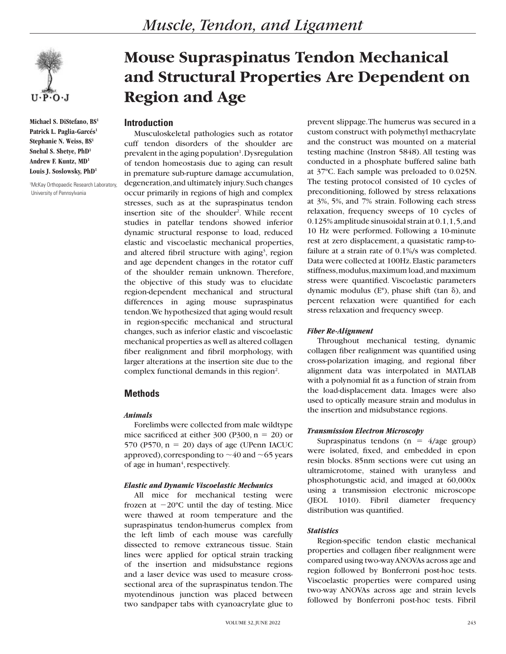

**Michael S. DiStefano, BS1** Patrick L. Paglia-Garcés<sup>1</sup> **Stephanie N. Weiss, BS1 Snehal S. Shetye, PhD1 Andrew F. Kuntz, MD1 Louis J. Soslowsky, PhD1**

1 McKay Orthopaedic Research Laboratory, University of Pennsylvania

# **Mouse Supraspinatus Tendon Mechanical and Structural Properties Are Dependent on Region and Age**

# **Introduction**

Musculoskeletal pathologies such as rotator cuff tendon disorders of the shoulder are prevalent in the aging population<sup>1</sup>. Dysregulation of tendon homeostasis due to aging can result in premature sub-rupture damage accumulation, degeneration, and ultimately injury. Such changes occur primarily in regions of high and complex stresses, such as at the supraspinatus tendon insertion site of the shoulder<sup>2</sup>. While recent studies in patellar tendons showed inferior dynamic structural response to load, reduced elastic and viscoelastic mechanical properties, and altered fibril structure with aging<sup>3</sup>, region and age dependent changes in the rotator cuff of the shoulder remain unknown. Therefore, the objective of this study was to elucidate region-dependent mechanical and structural differences in aging mouse supraspinatus tendon. We hypothesized that aging would result in region-specific mechanical and structural changes, such as inferior elastic and viscoelastic mechanical properties as well as altered collagen fiber realignment and fibril morphology, with larger alterations at the insertion site due to the complex functional demands in this region<sup>2</sup>.

# **Methods**

## *Animals*

Forelimbs were collected from male wildtype mice sacrificed at either 300 (P300,  $n = 20$ ) or 570 (P570,  $n = 20$ ) days of age (UPenn IACUC approved), corresponding to  $\sim$  40 and  $\sim$  65 years of age in human<sup>4</sup>, respectively.

## *Elastic and Dynamic Viscoelastic Mechanics*

All mice for mechanical testing were frozen at  $-20^{\circ}$ C until the day of testing. Mice were thawed at room temperature and the supraspinatus tendon-humerus complex from the left limb of each mouse was carefully dissected to remove extraneous tissue. Stain lines were applied for optical strain tracking of the insertion and midsubstance regions and a laser device was used to measure crosssectional area of the supraspinatus tendon. The myotendinous junction was placed between two sandpaper tabs with cyanoacrylate glue to

prevent slippage. The humerus was secured in a custom construct with polymethyl methacrylate and the construct was mounted on a material testing machine (Instron 5848). All testing was conducted in a phosphate buffered saline bath at 37ºC. Each sample was preloaded to 0.025N. The testing protocol consisted of 10 cycles of preconditioning, followed by stress relaxations at 3%, 5%, and 7% strain. Following each stress relaxation, frequency sweeps of 10 cycles of 0.125% amplitude sinusoidal strain at 0.1, 1, 5, and 10 Hz were performed. Following a 10-minute rest at zero displacement, a quasistatic ramp-tofailure at a strain rate of 0.1%/s was completed. Data were collected at 100Hz. Elastic parameters stiffness, modulus, maximum load, and maximum stress were quantified. Viscoelastic parameters dynamic modulus  $(E^*)$ , phase shift (tan  $\delta$ ), and percent relaxation were quantified for each stress relaxation and frequency sweep.

## *Fiber Re-Alignment*

Throughout mechanical testing, dynamic collagen fiber realignment was quantified using cross-polarization imaging, and regional fiber alignment data was interpolated in MATLAB with a polynomial fit as a function of strain from the load-displacement data. Images were also used to optically measure strain and modulus in the insertion and midsubstance regions.

## *Transmission Electron Microscopy*

Supraspinatus tendons ( $n = 4/age$  group) were isolated, fixed, and embedded in epon resin blocks. 85nm sections were cut using an ultramicrotome, stained with uranyless and phosphotungstic acid, and imaged at 60,000x using a transmission electronic microscope (JEOL 1010). Fibril diameter frequency distribution was quantified.

# *Statistics*

Region-specific tendon elastic mechanical properties and collagen fiber realignment were compared using two-way ANOVAs across age and region followed by Bonferroni post-hoc tests. Viscoelastic properties were compared using two-way ANOVAs across age and strain levels followed by Bonferroni post-hoc tests. Fibril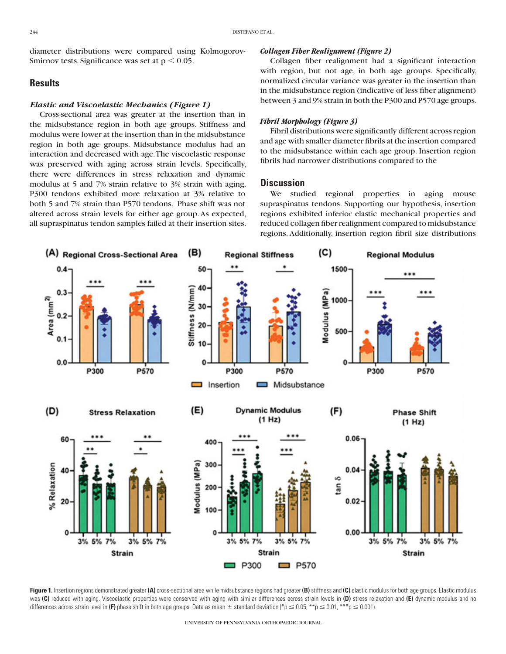diameter distributions were compared using Kolmogorov-Smirnov tests. Significance was set at  $p < 0.05$ .

# **Results**

#### *Elastic and Viscoelastic Mechanics (Figure 1)*

Cross-sectional area was greater at the insertion than in the midsubstance region in both age groups. Stiffness and modulus were lower at the insertion than in the midsubstance region in both age groups. Midsubstance modulus had an interaction and decreased with age. The viscoelastic response was preserved with aging across strain levels. Specifically, there were differences in stress relaxation and dynamic modulus at 5 and 7% strain relative to 3% strain with aging. P300 tendons exhibited more relaxation at 3% relative to both 5 and 7% strain than P570 tendons. Phase shift was not altered across strain levels for either age group. As expected, all supraspinatus tendon samples failed at their insertion sites.

#### *Collagen Fiber Realignment (Figure 2)*

Collagen fiber realignment had a significant interaction with region, but not age, in both age groups. Specifically, normalized circular variance was greater in the insertion than in the midsubstance region (indicative of less fiber alignment) between 3 and 9% strain in both the P300 and P570 age groups.

#### *Fibril Morphology (Figure 3)*

Fibril distributions were significantly different across region and age with smaller diameter fibrils at the insertion compared to the midsubstance within each age group. Insertion region fibrils had narrower distributions compared to the

## **Discussion**

We studied regional properties in aging mouse supraspinatus tendons. Supporting our hypothesis, insertion regions exhibited inferior elastic mechanical properties and reduced collagen fiber realignment compared to midsubstance regions. Additionally, insertion region fibril size distributions



Figure 1. Insertion regions demonstrated greater (A) cross-sectional area while midsubstance regions had greater (B) stiffness and (C) elastic modulus for both age groups. Elastic modulus was **(C)** reduced with aging. Viscoelastic properties were conserved with aging with similar differences across strain levels in **(D)** stress relaxation and **(E)** dynamic modulus and no differences across strain level in (F) phase shift in both age groups. Data as mean  $\pm$  standard deviation (\*p  $\leq$  0.05, \*\*p  $\leq$  0.01, \*\*\*p  $\leq$  0.001).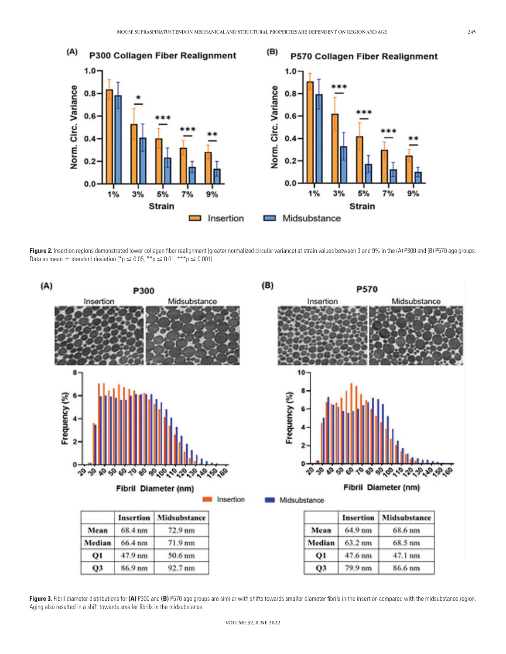

Figure 2. Insertion regions demonstrated lower collagen fiber realignment (greater normalized circular variance) at strain values between 3 and 9% in the (A) P300 and (B) P570 age groups. Data as mean  $\pm$  standard deviation (\*p  $\leq$  0.05, \*\*p  $\leq$  0.01, \*\*\*p  $\leq$  0.001).



Figure 3. Fibril diameter distributions for (A) P300 and (B) P570 age groups are similar with shifts towards smaller diameter fibrils in the insertion compared with the midsubstance region. Aging also resulted in a shift towards smaller fibrils in the midsubstance.